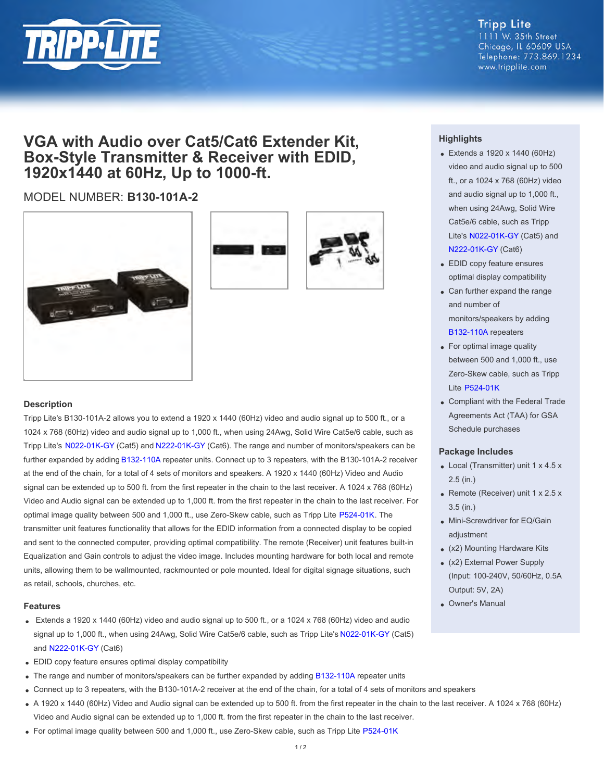

**Tripp Lite** 1111 W. 35th Street Chicago, IL 60609 USA Telephone: 773.869.1234 www.tripplite.com

## **VGA with Audio over Cat5/Cat6 Extender Kit, Box-Style Transmitter & Receiver with EDID, 1920x1440 at 60Hz, Up to 1000-ft.**

### MODEL NUMBER: **B130-101A-2**





#### **Description**

Tripp Lite's B130-101A-2 allows you to extend a 1920 x 1440 (60Hz) video and audio signal up to 500 ft., or a 1024 x 768 (60Hz) video and audio signal up to 1,000 ft., when using 24Awg, Solid Wire Cat5e/6 cable, such as Tripp Lite's [N022-01K-GY](http://www.tripplite.com/en/products/model.cfm?txtmodelid=2140) (Cat5) and [N222-01K-GY](http://www.tripplite.com/en/products/model.cfm?txtmodelid=2523) (Cat6). The range and number of monitors/speakers can be further expanded by adding [B132-110A](http://www.tripplite.com/en/products/model.cfm?txtmodelid=4881) repeater units. Connect up to 3 repeaters, with the B130-101A-2 receiver at the end of the chain, for a total of 4 sets of monitors and speakers. A 1920 x 1440 (60Hz) Video and Audio signal can be extended up to 500 ft. from the first repeater in the chain to the last receiver. A 1024 x 768 (60Hz) Video and Audio signal can be extended up to 1,000 ft. from the first repeater in the chain to the last receiver. For optimal image quality between 500 and 1,000 ft., use Zero-Skew cable, such as Tripp Lite [P524-01K](http://www.tripplite.com/en/products/model.cfm?txtmodelid=4209). The transmitter unit features functionality that allows for the EDID information from a connected display to be copied and sent to the connected computer, providing optimal compatibility. The remote (Receiver) unit features built-in Equalization and Gain controls to adjust the video image. Includes mounting hardware for both local and remote units, allowing them to be wallmounted, rackmounted or pole mounted. Ideal for digital signage situations, such as retail, schools, churches, etc.

#### **Features**

- Extends a 1920 x 1440 (60Hz) video and audio signal up to 500 ft., or a 1024 x 768 (60Hz) video and audio signal up to 1,000 ft., when using 24Awg, Solid Wire Cat5e/6 cable, such as Tripp Lite's [N022-01K-GY](http://www.tripplite.com/en/products/model.cfm?txtmodelid=2140) (Cat5) and [N222-01K-GY](http://www.tripplite.com/en/products/model.cfm?txtmodelid=2523) (Cat6)
- EDID copy feature ensures optimal display compatibility
- The range and number of monitors/speakers can be further expanded by adding [B132-110A](http://www.tripplite.com/en/products/model.cfm?txtmodelid=4881) repeater units
- Connect up to 3 repeaters, with the B130-101A-2 receiver at the end of the chain, for a total of 4 sets of monitors and speakers
- A 1920 x 1440 (60Hz) Video and Audio signal can be extended up to 500 ft. from the first repeater in the chain to the last receiver. A 1024 x 768 (60Hz) Video and Audio signal can be extended up to 1,000 ft. from the first repeater in the chain to the last receiver.
- For optimal image quality between 500 and 1,000 ft., use Zero-Skew cable, such as Tripp Lite [P524-01K](http://www.tripplite.com/en/products/model.cfm?txtmodelid=4209)

#### **Highlights**

- Extends a 1920 x 1440 (60Hz) video and audio signal up to 500 ft., or a 1024 x 768 (60Hz) video and audio signal up to 1,000 ft., when using 24Awg, Solid Wire Cat5e/6 cable, such as Tripp Lite's [N022-01K-GY](http://www.tripplite.com/en/products/model.cfm?txtmodelid=2140) (Cat5) and [N222-01K-GY](http://www.tripplite.com/en/products/model.cfm?txtmodelid=2523) (Cat6)
- EDID copy feature ensures optimal display compatibility
- Can further expand the range and number of monitors/speakers by adding [B132-110A](http://www.tripplite.com/en/products/model.cfm?txtmodelid=4881) repeaters
- For optimal image quality between 500 and 1,000 ft., use Zero-Skew cable, such as Tripp Lite [P524-01K](http://www.tripplite.com/en/products/model.cfm?txtmodelid=4209)
- Compliant with the Federal Trade Agreements Act (TAA) for GSA Schedule purchases

#### **Package Includes**

- $\bullet$  Local (Transmitter) unit 1 x 4.5 x 2.5 (in.)
- Remote (Receiver) unit  $1 \times 2.5 \times$ 3.5 (in.)
- Mini-Screwdriver for EQ/Gain adjustment
- (x2) Mounting Hardware Kits
- (x2) External Power Supply (Input: 100-240V, 50/60Hz, 0.5A Output: 5V, 2A)
- Owner's Manual